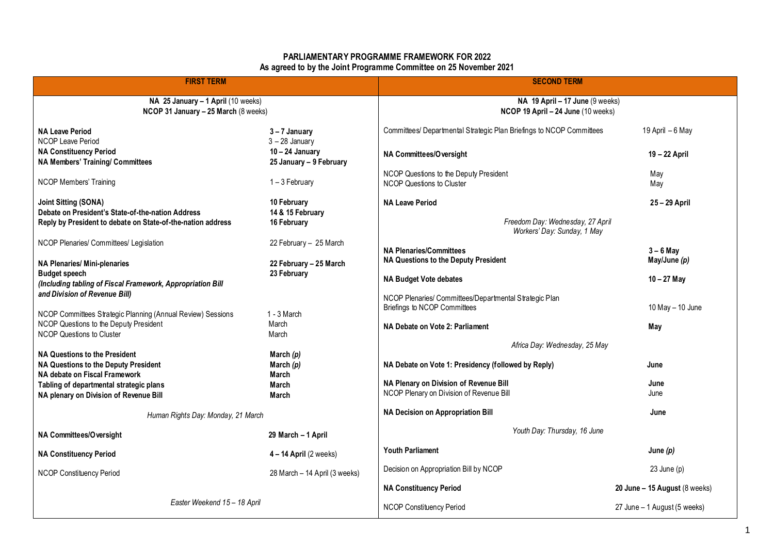## **PARLIAMENTARY PROGRAMME FRAMEWORK FOR 2022 As agreed to by the Joint Programme Committee on 25 November 2021**

| <b>FIRST TERM</b>                                                                                     |                                                  | <b>SECOND TERM</b>                                                                 |                                         |
|-------------------------------------------------------------------------------------------------------|--------------------------------------------------|------------------------------------------------------------------------------------|-----------------------------------------|
| NA 25 January - 1 April (10 weeks)<br>NCOP 31 January - 25 March (8 weeks)                            |                                                  | NA 19 April $-17$ June (9 weeks)<br>NCOP 19 April - 24 June (10 weeks)             |                                         |
| <b>NA Leave Period</b><br><b>NCOP Leave Period</b>                                                    | $3 - 7$ January<br>$3 - 28$ January              | Committees/ Departmental Strategic Plan Briefings to NCOP Committees               | 19 April – 6 May                        |
| <b>NA Constituency Period</b><br><b>NA Members' Training/ Committees</b>                              | $10 - 24$ January<br>25 January - 9 February     | NA Committees/Oversight                                                            | 19 - 22 April                           |
| <b>NCOP Members' Training</b>                                                                         | 1-3 February                                     | NCOP Questions to the Deputy President<br><b>NCOP Questions to Cluster</b>         | May<br>May                              |
| <b>Joint Sitting (SONA)</b><br>Debate on President's State-of-the-nation Address                      | 10 February<br>14 & 15 February                  | <b>NA Leave Period</b>                                                             | 25-29 April                             |
| Reply by President to debate on State-of-the-nation address                                           | 16 February                                      | Freedom Day: Wednesday, 27 April<br>Workers' Day: Sunday, 1 May                    |                                         |
| NCOP Plenaries/ Committees/ Legislation<br><b>NA Plenaries/ Mini-plenaries</b>                        | 22 February - 25 March<br>22 February - 25 March | <b>NA Plenaries/Committees</b><br>NA Questions to the Deputy President             | $3 - 6$ May<br>May/June (p)             |
| <b>Budget speech</b><br>(Including tabling of Fiscal Framework, Appropriation Bill                    | 23 February                                      | <b>NA Budget Vote debates</b>                                                      | $10 - 27$ May                           |
| and Division of Revenue Bill)                                                                         |                                                  | NCOP Plenaries/ Committees/Departmental Strategic Plan                             |                                         |
| NCOP Committees Strategic Planning (Annual Review) Sessions<br>NCOP Questions to the Deputy President | $1 - 3$ March<br>March                           | Briefings to NCOP Committees<br>NA Debate on Vote 2: Parliament                    | 10 May - 10 June<br>May                 |
| NCOP Questions to Cluster                                                                             | March                                            | Africa Day: Wednesday, 25 May                                                      |                                         |
| <b>NA Questions to the President</b>                                                                  | March $(p)$                                      |                                                                                    |                                         |
| <b>NA Questions to the Deputy President</b><br>NA debate on Fiscal Framework                          | March $(p)$<br>March                             | NA Debate on Vote 1: Presidency (followed by Reply)                                | June                                    |
| Tabling of departmental strategic plans<br>NA plenary on Division of Revenue Bill                     | March<br>March                                   | NA Plenary on Division of Revenue Bill<br>NCOP Plenary on Division of Revenue Bill | June<br>June                            |
| Human Rights Day: Monday, 21 March                                                                    |                                                  | <b>NA Decision on Appropriation Bill</b>                                           | June                                    |
| NA Committees/Oversight                                                                               | 29 March - 1 April                               | Youth Day: Thursday, 16 June                                                       |                                         |
| <b>NA Constituency Period</b>                                                                         | $4 - 14$ April (2 weeks)                         | <b>Youth Parliament</b>                                                            | June $(p)$                              |
| NCOP Constituency Period                                                                              | 28 March - 14 April (3 weeks)                    | Decision on Appropriation Bill by NCOP                                             | $23$ June (p)                           |
|                                                                                                       |                                                  | <b>NA Constituency Period</b>                                                      | 20 June - 15 August $(8 \text{ weeks})$ |
| Easter Weekend 15 - 18 April                                                                          |                                                  | <b>NCOP Constituency Period</b>                                                    | 27 June - 1 August (5 weeks)            |